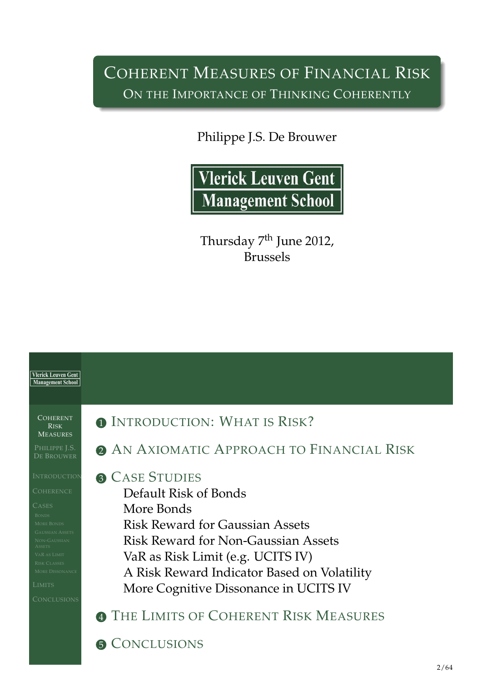## COHERENT MEASURES OF FINANCIAL RISK ON THE IMPORTANCE OF THINKING COHERENTLY

Philippe J.S. De Brouwer



Thursday 7<sup>th</sup> June 2012, Brussels



<span id="page-0-0"></span>**6 C[ONCLUSIONS](#page-17-0)**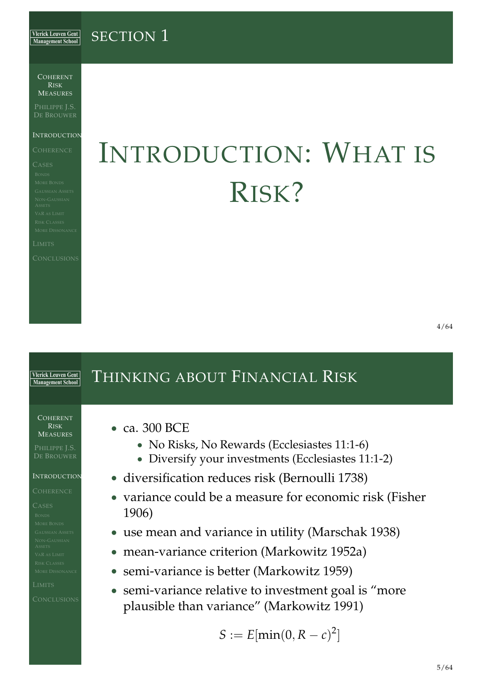#### SECTION<sub>1</sub> **Vlerick Leuven Gent Management School**

COHERENT RISK MEASURES

PHILIPPE J.S. DE BROUWER

#### **INTRODUCTION**

# INTRODUCTION: WHAT IS RISK?

## <span id="page-1-0"></span>THINKING ABOUT FINANCIAL RISK **Vlerick Leuven Gent** Management School COHERENT RISK • ca. 300 BCE MEASURES • No Risks, No Rewards (Ecclesiastes 11:1-6) PHILIPPE J.S. • Diversify your investments (Ecclesiastes 11:1-2) **INTRODUCTION** • diversification reduces risk (Bernoulli 1738) • variance could be a measure for economic risk (Fisher 1906) • use mean and variance in utility (Marschak 1938) • [mean-variance criterion \(Ma](#page-1-0)rkowitz 1952a) • semi-variance is better (Markowitz 1959) • [semi-varianc](#page-1-0)[e relative to](#page-23-0) investment goal is "more plaus[ible than va](#page-23-1)[ria](#page-22-2)nce" (Markowitz 1991)  $S := E[\min(0, R - c)^2]$  $S := E[\min(0, R - c)^2]$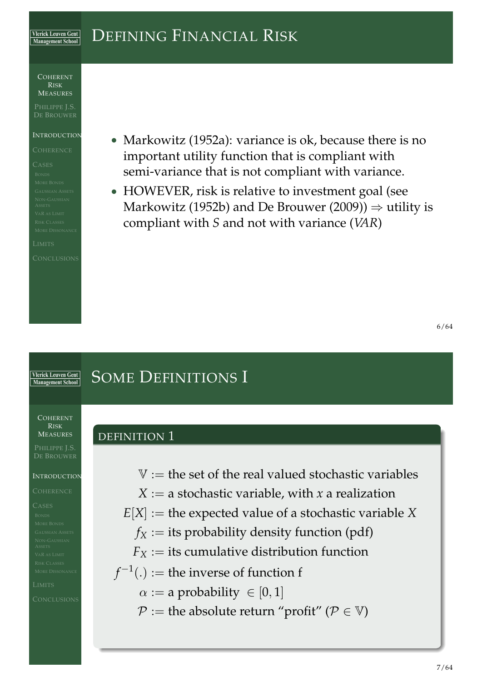#### DEFINING FINANCIAL RISK **Vlerick Leuven Gent Management School**

COHERENT RISK MEASURES

PHILIPPE J.S. DE BROUWER

#### **INTRODUCTION**

• Markowitz (1952a): variance is ok, because there is no important utility function that is compliant with semi-variance that is not compliant with variance.

• HOWEVER, risk is relative to investment goal (see Markowitz (1952b) and De Brouwer (2009))  $\Rightarrow$  utility is compliant with *S* and not with variance (*VAR*)

## SOME DEFINITIONS I **Vlerick Leuven Gent Management School** COHERENT RISK MEASURES DEFINITION 1 PHILIPPE J.S.  $V =$  the set of the real valued stochastic variables **INTRODUCTION**  $X := a$  stochastic variable, with *x* a realization  $E[X] :=$  the expected value of a stochastic variable  $X$  $f_X :=$  its probability density function (pdf)  $F_X$  $F_X$  := its cumulative distribution function  $f^{-1}(.) :=$  the inverse of function f  $\alpha := a$  probability  $\in [0, 1]$  $P :=$  the absolute return "profit" ( $P \in V$ )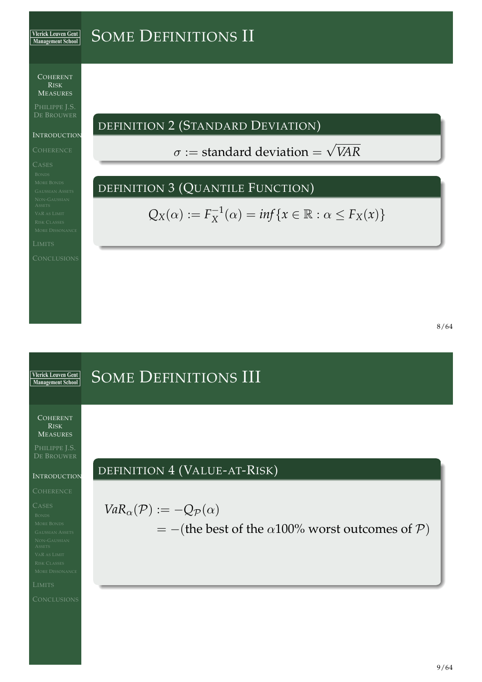#### SOME DEFINITIONS II **Vlerick Leuven Gent** Management School

COHERENT RISK MEASURES

PHILIPPE J.S.

**INTRODUCTION** 

DEFINITION 2 (STANDARD DEVIATION)

 $\sigma:=$  standard deviation  $=$ √ *VAR*

## DEFINITION 3 (QUANTILE FUNCTION)

 $Q_X(\alpha) := F_X^{-1}$  $X_X^{-1}(\alpha) = \inf\{x \in \mathbb{R} : \alpha \le F_X(x)\}$ 

## SOME DEFINITIONS III **Vlerick Leuven Gent** Management School COHERENT RISK MEASURES PHILIPPE J.S. DEFINITION 4 (VALUE-AT-RISK) **INTRODUCTION**  $VaR_{\alpha}(P) := -Q_{\mathcal{P}}(\alpha)$  $=$  –(the best of the  $\alpha$ 100% worst outcomes of  $P$ )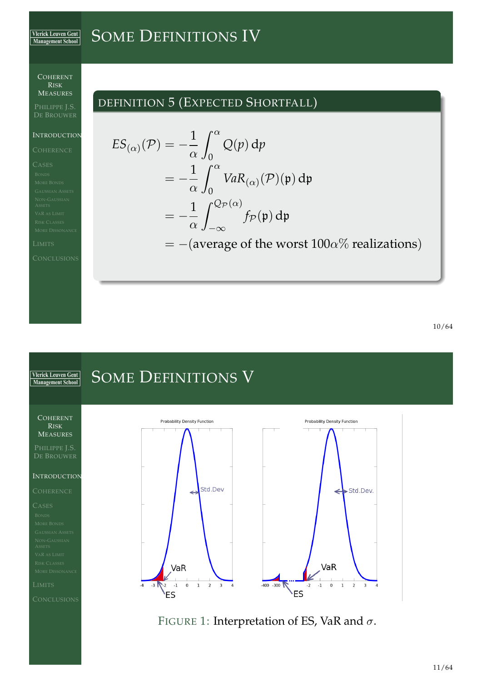#### SOME DEFINITIONS IV **Vlerick Leuven Gent** Management School

 $ES$ 

COHERENT RISK MEASURES

## PHILIPPE J.S.

**INTRODUCTION** 

## DEFINITION 5 (EXPECTED SHORTFALL)

$$
\begin{aligned} \n\chi_{(\alpha)}(\mathcal{P}) &= -\frac{1}{\alpha} \int_0^\alpha \mathcal{Q}(p) \, \mathrm{d}p \\ \n&= -\frac{1}{\alpha} \int_0^\alpha \text{VaR}_{(\alpha)}(\mathcal{P})(\mathfrak{p}) \, \mathrm{d}\mathfrak{p} \\ \n&= -\frac{1}{\alpha} \int_{-\infty}^{\mathcal{Q}_{\mathcal{P}}(\alpha)} f_{\mathcal{P}}(\mathfrak{p}) \, \mathrm{d}\mathfrak{p} \\ \n&= -(\text{average of the worst } 100\alpha\% \text{ realizations}) \n\end{aligned}
$$

#### SOME DEFINITIONS V **Vlerick Leuven Gent** Management School COHERENT Probability Density Function Probability Density Function RISK MEASURES PHILIPPE J.S. INTRODUCTION Std.Dev Std.Dev.  $\leftarrow$ VaR VaR  $-400 - 300$  $-4$  $-3$   $\mathbb{R}$  -2  $-1$  $\,$  0  $\,1$  $\overline{2}$  $\overline{3}$  $\overline{4}$  $-2$  $-1$  $\mathsf 0$  $\,1$  $\overline{2}$  $\overline{\mathbf{3}}$  $\overline{4}$  $V_{ES}$ **S**

FIGURE 1: Interpretation of ES, VaR and  $\sigma$ .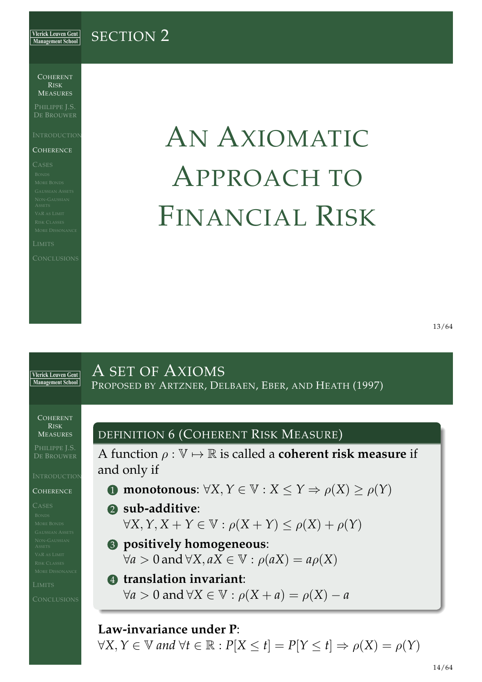#### **Vlerick Leuven Gent** SECTION 2 **Management School**

COHERENT RISK MEASURES

PHILIPPE J.S. DE BROUWER

#### **COHERENCE**

# AN AXIOMATIC APPROACH TO FINANCIAL RISK

### A SET OF AXIOMS **Vlerick Leuven Gent** Management School PROPOSED BY ARTZNER, DELBAEN, EBER, AND HEATH (1997) COHERENT RISK DEFINITION 6 (COHERENT RISK MEASURE) MEASURES PHILIPPE J.S. A function  $\rho : \mathbb{V} \mapsto \mathbb{R}$  is called a **coherent risk measure** if and only if **INTRODUCTION** <sup>1</sup> **[monotonous](#page-22-5)**: ∀*X*, *Y* ∈ V : *X* ≤ *Y* ⇒ ρ(*X*) ≥ ρ(*Y*) **COHERENCE** 2 **sub-additive**:  $\forall X, Y, X + Y \in \mathbb{V}: \rho(X + Y) \leq \rho(X) + \rho(Y)$ 3 **[positively homogeneous](#page-5-0)**:  $∀a > 0$  and  $∀X, aX ∈ V : \rho(aX) = a\rho(X)$ 4 **[translation invariant](#page-5-0)**:  $\forall a > 0$  and  $\forall X \in \mathbb{V}: \rho(X + a) = \rho(X) - a$ **Law-invariance under P**:

<span id="page-5-0"></span> $\forall X, Y \in \mathbb{V}$  and  $\forall t \in \mathbb{R} : P[X \leq t] = P[Y \leq t] \Rightarrow \rho(X) = \rho(Y)$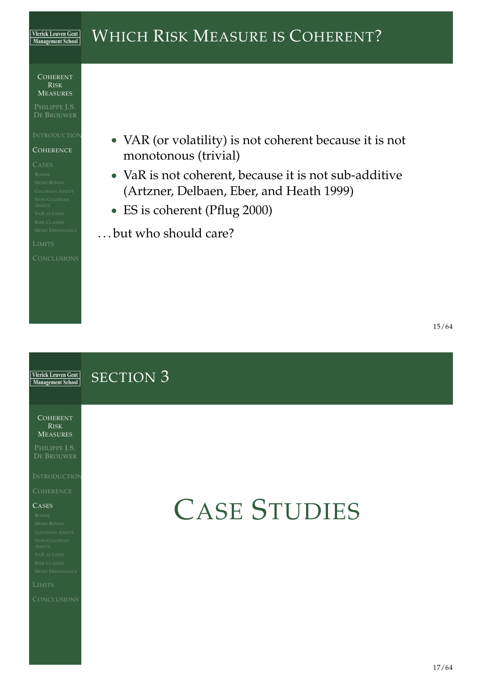#### WHICH RISK MEASURE IS COHERENT? **Vlerick Leuven Gent** Management School

COHERENT RISK MEASURES

PHILIPPE J.S.

**COHERENCE** 

- VAR (or volatility) is not coherent because it is not monotonous (trivial)
- VaR is not coherent, because it is not sub-additive (Artzner, Delbaen, Eber, and Heath 1999)
- ES is coherent (Pflug 2000)
- . . . but who should care?

#### **Vlerick Leuven Gent** SECTION 3 Management School

COHERENT RISK MEASURES

PHILIPPE J.S.

#### $C$ ASES

# <span id="page-6-0"></span>CASE STUDIES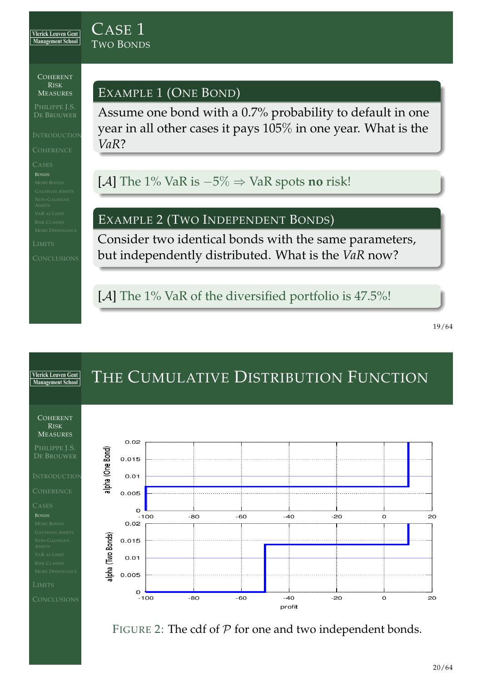### CASE 1 TWO BONDS

COHERENT RISK MEASURES

PHILIPPE J.S. DE BROUWER

## EXAMPLE 1 (ONE BOND)

Assume one bond with a 0.7% probability to default in one year in all other cases it pays 105% in one year. What is the *VaR*?

[A] The 1% VaR is −5% ⇒ VaR spots **no** risk!

## EXAMPLE 2 (TWO INDEPENDENT BONDS)

Consider two identical bonds with the same parameters, but independently distributed. What is the *VaR* now?

[A] The 1% VaR of the diversified portfolio is 47.5%!

<span id="page-7-0"></span>19/64

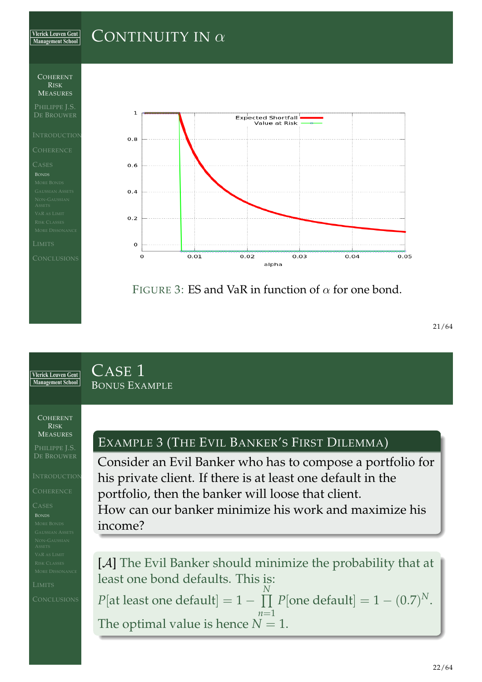#### **Vlerick Leuven Gent** CONTINUITY IN  $\alpha$ **Management School**



### CASE 1 **Vlerick Leuven Gent** Management School BONUS EXAMPLE COHERENT RISK MEASURES EXAMPLE 3 (THE EVIL BANKER'S FIRST DILEMMA) PHILIPPE J.S. Consider an Evil Banker who has to compose a portfolio for **INTRODUCTION** his private client. If there is at least one default in the portfolio, then the banker will loose that client. How can our banker minimize his work and maximize his income? [A] The Evil Banker should minimize the probability that at least one bond defaults. This is: *N*  $P[\text{one default}] = 1 - (0.7)^N.$  $P[\text{at least one default}] = 1 - \prod$ *n*=1 The optimal value is hence  $N = 1$ .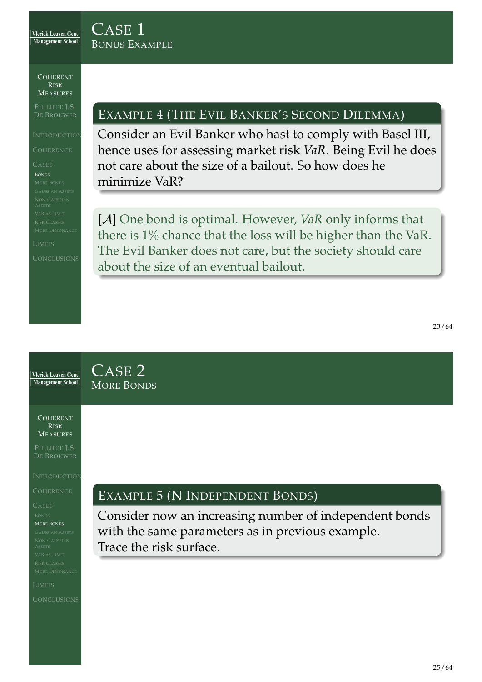CASE 1

BONUS EXAMPLE

COHERENT RISK MEASURES

PHILIPPE J.S. DE BROUWER

## EXAMPLE 4 (THE EVIL BANKER'S SECOND DILEMMA)

Consider an Evil Banker who hast to comply with Basel III, hence uses for assessing market risk *VaR*. Being Evil he does not care about the size of a bailout. So how does he minimize VaR?

[A] One bond is optimal. However, *VaR* only informs that there is 1% chance that the loss will be higher than the VaR. The Evil Banker does not care, but the society should care about the size of an eventual bailout.

<span id="page-9-0"></span>CASE 2 **Vlerick Leuven Gent** Management School MORE BONDS COHERENT RISK MEASURES PHILIPPE J.S. DE BROUWER **INTRODUCTION** EXAMPLE 5 (N INDEPENDENT BONDS) Consider now an increasing number of independent bonds MORE BONDS with the same parameters as in previous example. Trace the risk surface.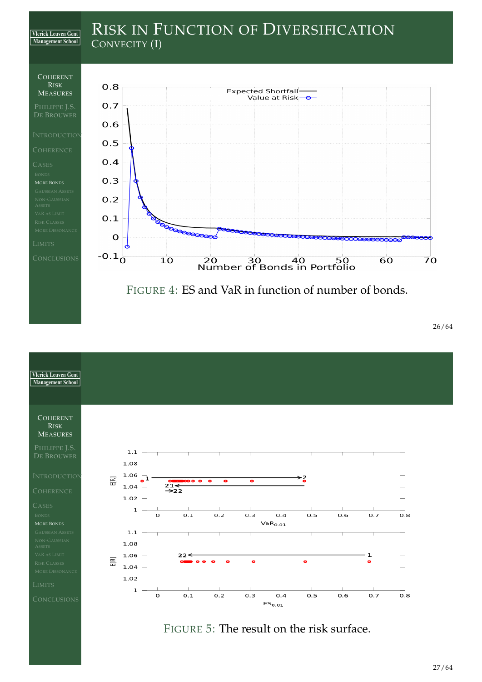



FIGURE 5: The result on the risk surface.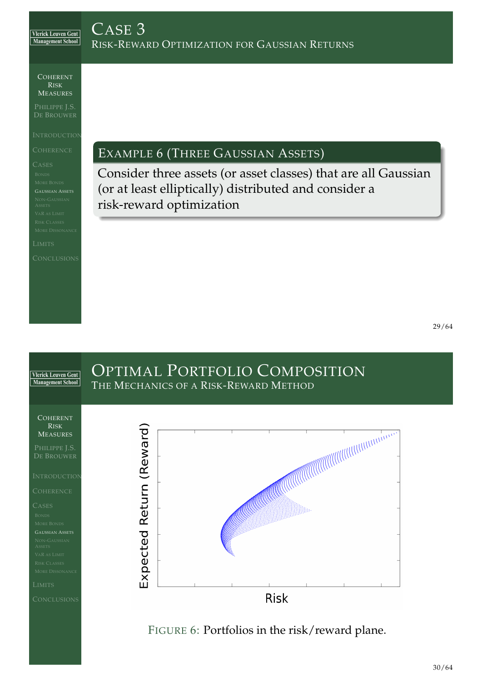COHERENT RISK MEASURES

PHILIPPE J.S.

EXAMPLE 6 (THREE GAUSSIAN ASSETS)

Consider three assets (or asset classes) that are all Gaussian (or at least elliptically) distributed and consider a risk-reward optimization



<span id="page-11-0"></span>FIGURE 6: Portfolios in the risk/reward plane.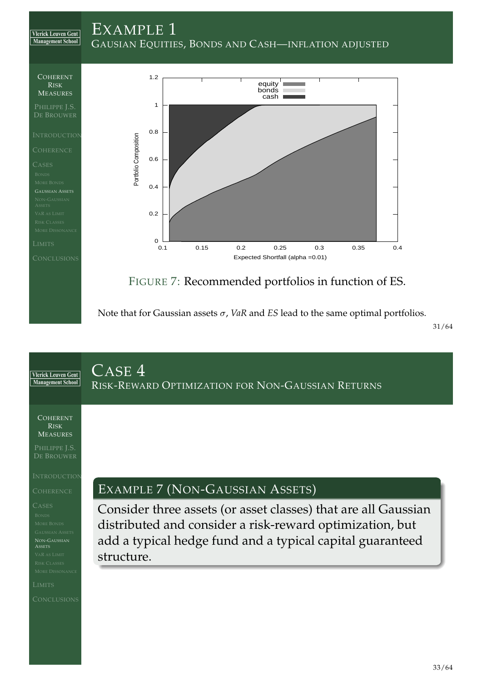



Note that for Gaussian assets  $\sigma$ , *VaR* and *ES* lead to the same optimal portfolios.

<span id="page-12-0"></span>31/64

<span id="page-12-1"></span>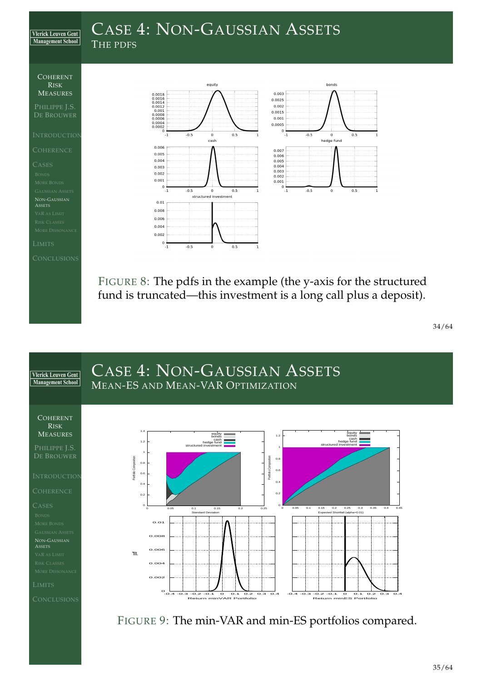## CASE 4: NON-GAUSSIAN ASSETS

THE PDFS



**Vlerick Leuven Gent** Management School

PHILIPPE J.S.

NON-GAUSSIAN **ASSETS** 



FIGURE 8: The pdfs in the example (the y-axis for the structured fund is truncated—this investment is a long call plus a deposit).

34/64

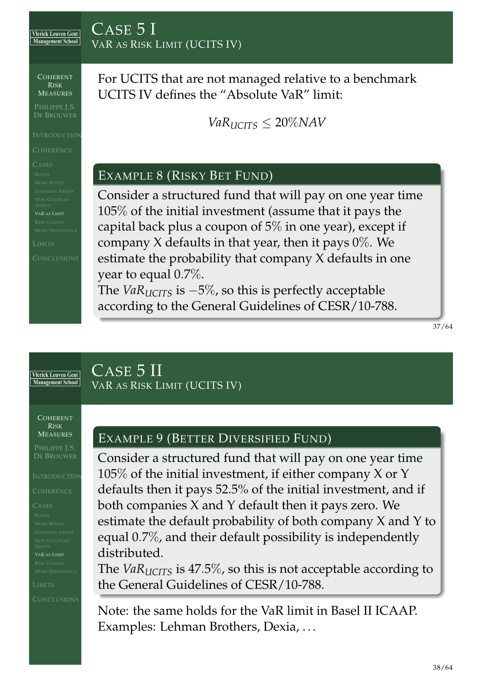## CASE 5 I VAR AS RISK LIMIT (UCITS IV)

COHERENT RISK MEASURES

PHILIPPE J.S. DE BROUWER

For UCITS that are not managed relative to a benchmark UCITS IV defines the "Absolute VaR" limit:

 $VaR<sub>UCTS</sub> < 20\%$ *NAV* 

## EXAMPLE 8 (RISKY BET FUND)

Consider a structured fund that will pay on one year time 105% of the initial investment (assume that it pays the capital back plus a coupon of 5% in one year), except if company X defaults in that year, then it pays  $0\%$ . We estimate the probability that company X defaults in one year to equal 0.7%.

The *VaRUCITS* is −5%, so this is perfectly acceptable according to the General Guidelines of CESR/10-788.

37/64

**Vlerick Leuven Gent** Management School

## CASE 5 II VAR AS RISK LIMIT (UCITS IV)

COHERENT RISK MEASURES

PHILIPPE J.S.

## EXAMPLE 9 (BETTER DIVERSIFIED FUND)

Consider a structured fund that will pay on one year time  $105\%$  of the initial investment, if either company X or Y defaults then it pays 52.5% of the initial investment, and if both companies X and Y default then it pays zero. We estimate the default probability of both company X and Y to equal 0.7%, and their default possibility is independently distributed.

The *VaRUCITS* is 47.5%, so this is not acceptable according to the General Guidelines of CESR/10-788.

<span id="page-14-0"></span>Note: the same holds for the VaR limit in Basel II ICAAP. Examples: Lehman Brothers, Dexia, ...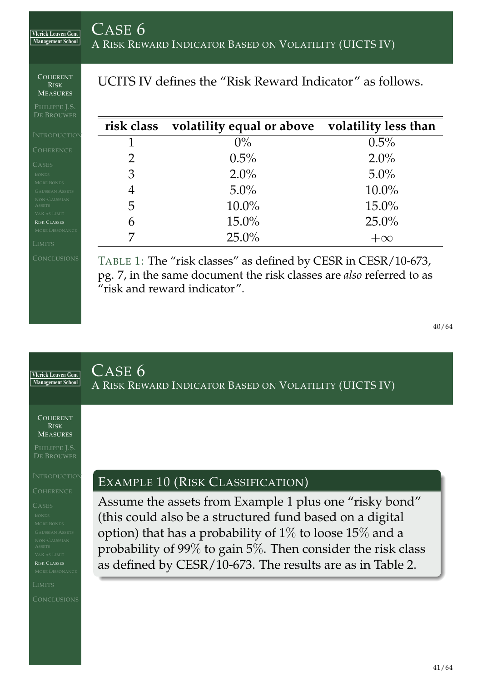COHERENT RISK MEASURES

**Vlerick Leuven Gent** Management School

PHILIPPE J.S. DE BROUWER

## UCITS IV defines the "Risk Reward Indicator" as follows.

|               | risk class volatility equal or above volatility less than |          |
|---------------|-----------------------------------------------------------|----------|
|               | $0\%$                                                     | 0.5%     |
| $\mathcal{D}$ | 0.5%                                                      | 2.0%     |
| 3             | $2.0\%$                                                   | $5.0\%$  |
| 4             | $5.0\%$                                                   | $10.0\%$ |
| 5             | 10.0%                                                     | $15.0\%$ |
| 6             | 15.0%                                                     | $25.0\%$ |
|               | $25.0\%$                                                  |          |

RISK CLASSES

TABLE 1: The "risk classes" as defined by CESR in CESR/10-673, pg. 7, in the same document the risk classes are *also* referred to as "risk and reward indicator".

<span id="page-15-0"></span>40/64

## CASE 6 **Vlerick Leuven Gent** Management School A RISK REWARD INDICATOR BASED ON VOLATILITY (UICTS IV) COHERENT RISK MEASURES PHILIPPE J.S. DE BROUWER **INTRODUCTION** EXAMPLE 10 (RISK CLASSIFICATION) Assume the assets from Example 1 plus one "risky bond" (this could also be a structured fund based on a digital option) that has a probability of 1% to loose 15% and a probability of 99% to gain 5%. Then consider the risk class as defined by [C](#page-12-1)ESR/10-673. The results are as in Table 2. [R](#page-6-0)ISK CLASSES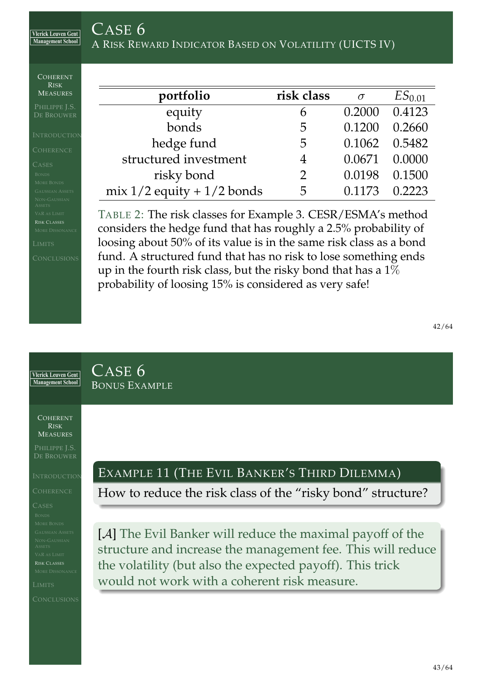| CASE 6 |                                                        |  |
|--------|--------------------------------------------------------|--|
|        | A RISK REWARD INDICATOR BASED ON VOLATILITY (UICTS IV) |  |

| COHERENT<br><b>RISK</b>                                                                                                                      |                                                                                                                                                                                                                                                                                                                                                                                                       |                |          |                    |
|----------------------------------------------------------------------------------------------------------------------------------------------|-------------------------------------------------------------------------------------------------------------------------------------------------------------------------------------------------------------------------------------------------------------------------------------------------------------------------------------------------------------------------------------------------------|----------------|----------|--------------------|
| <b>MEASURES</b>                                                                                                                              | portfolio                                                                                                                                                                                                                                                                                                                                                                                             | risk class     | $\sigma$ | ES <sub>0.01</sub> |
| PHILIPPE J.S.<br>DE BROUWER                                                                                                                  | equity                                                                                                                                                                                                                                                                                                                                                                                                | 6              | 0.2000   | 0.4123             |
| <b>INTRODUCTION</b>                                                                                                                          | bonds                                                                                                                                                                                                                                                                                                                                                                                                 | 5              | 0.1200   | 0.2660             |
| <b>COHERENCE</b>                                                                                                                             | hedge fund                                                                                                                                                                                                                                                                                                                                                                                            | 5              | 0.1062   | 0.5482             |
| <b>CASES</b>                                                                                                                                 | structured investment                                                                                                                                                                                                                                                                                                                                                                                 | 4              | 0.0671   | 0.0000             |
| <b>BONDS</b>                                                                                                                                 | risky bond                                                                                                                                                                                                                                                                                                                                                                                            | $\overline{2}$ | 0.0198   | 0.1500             |
| <b>MORE BONDS</b><br><b>GAUSSIAN ASSETS</b>                                                                                                  | mix $1/2$ equity + $1/2$ bonds                                                                                                                                                                                                                                                                                                                                                                        | 5              | 0.1173   | 0.2223             |
| NON-GAUSSIAN<br><b>ASSETS</b><br><b>VAR AS LIMIT</b><br><b>RISK CLASSES</b><br><b>MORE DISSONANCE</b><br><b>LIMITS</b><br><b>CONCLUSIONS</b> | TABLE 2: The risk classes for Example 3. CESR/ESMA's method<br>considers the hedge fund that has roughly a 2.5% probability of<br>loosing about 50% of its value is in the same risk class as a bond<br>fund. A structured fund that has no risk to lose something ends<br>up in the fourth risk class, but the risky bond that has a $1\%$<br>probability of loosing 15% is considered as very safe! |                |          |                    |

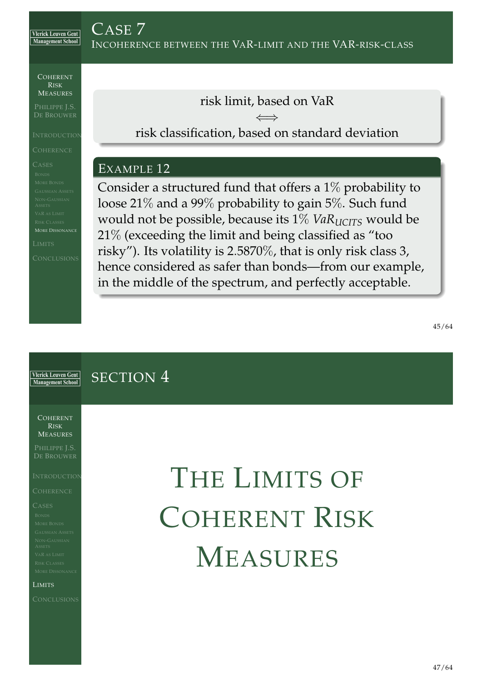COHERENT RISK MEASURES

PHILIPPE J.S. DE BROUWER

MORE DISSONANCE

risk limit, based on VaR

⇐⇒ risk classification, based on standard deviation

## EXAMPLE 12

Consider a structured fund that offers a 1% probability to loose 21% and a 99% probability to gain 5%. Such fund would not be possible, because its 1% *VaR*<sub>*UCITS*</sub> would be 21% (exceeding the limit and being classified as "too risky"). Its volatility is 2.5870%, that is only risk class 3, hence considered as safer than bonds—from our example, in the middle of the spectrum, and perfectly acceptable.

<span id="page-17-0"></span>**Vlerick Leuven Gent** SECTION 4 Management School COHERENT RISK MEASURES PHILIPPE J.S. THE LIMITS OF **INTRODUCTION** COHERENT RISK M[EASU](#page-17-0)RES [L](#page-11-0)IMITS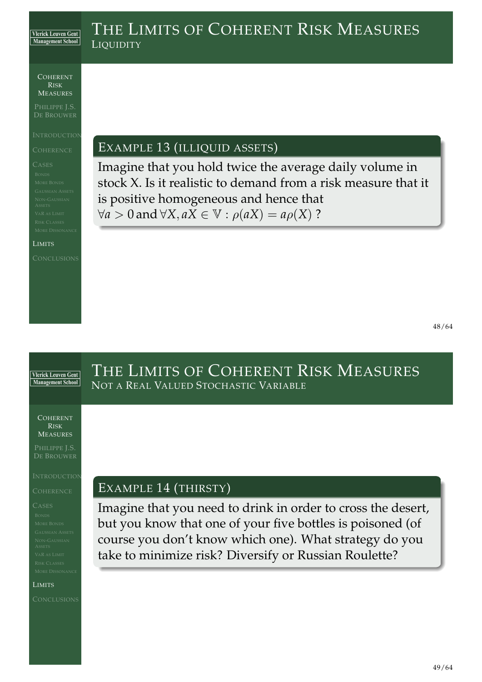## THE LIMITS OF COHERENT RISK MEASURES **LIQUIDITY**

COHERENT RISK MEASURES

PHILIPPE J.S. DE BROUWER

LIMITS

EXAMPLE 13 (ILLIQUID ASSETS)

Imagine that you hold twice the average daily volume in stock X. Is it realistic to demand from a risk measure that it is positive homogeneous and hence that  $∀a > 0$  and  $∀X, aX ∈ V : \rho(aX) = a\rho(X)$  ?

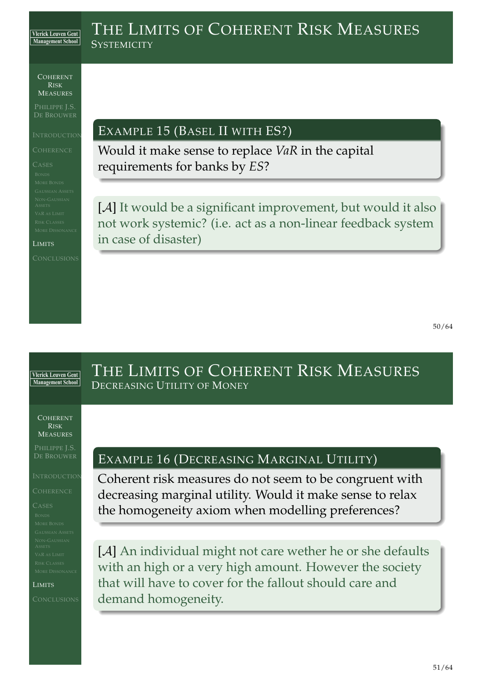## THE LIMITS OF COHERENT RISK MEASURES **SYSTEMICITY**

COHERENT RISK MEASURES

PHILIPPE J.S. DE BROUWER

LIMITS

EXAMPLE 15 (BASEL II WITH ES?)

Would it make sense to replace *VaR* in the capital requirements for banks by *ES*?

[A] It would be a significant improvement, but would it also not work systemic? (i.e. act as a non-linear feedback system in case of disaster)

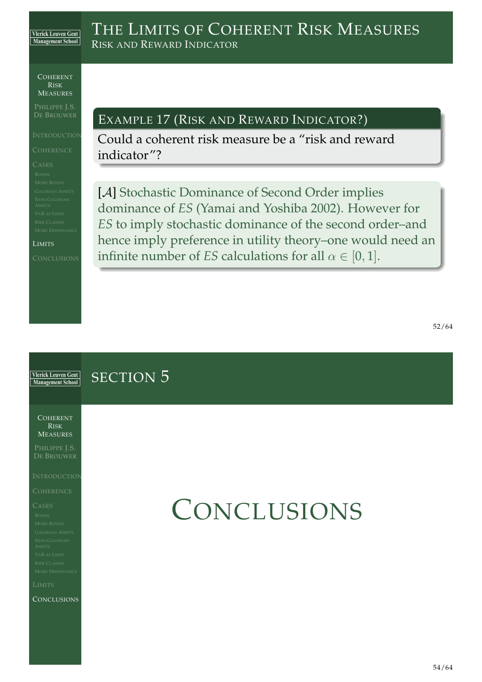## COHERENT

RISK MEASURES

PHILIPPE J.S. DE BROUWER

LIMITS

## EXAMPLE 17 (RISK AND REWARD INDICATOR?)

Could a coherent risk measure be a "risk and reward indicator"?

[A] Stochastic Dominance of Second Order implies dominance of *ES* (Yamai and Yoshiba 2002). However for *ES* to imply stochastic dominance of the second order–and hence imply preference in utility theory–one would need an infinite number of *ES* calculations for all  $\alpha \in [0, 1]$ .

**Vlerick Leuven Gent** SECTION 5 Management School COHERENT RISK MEASURES PHILIPPE J.S. **INTRODUCTION CONCLUSIONS [C](#page-14-0)ONCLUSIONS**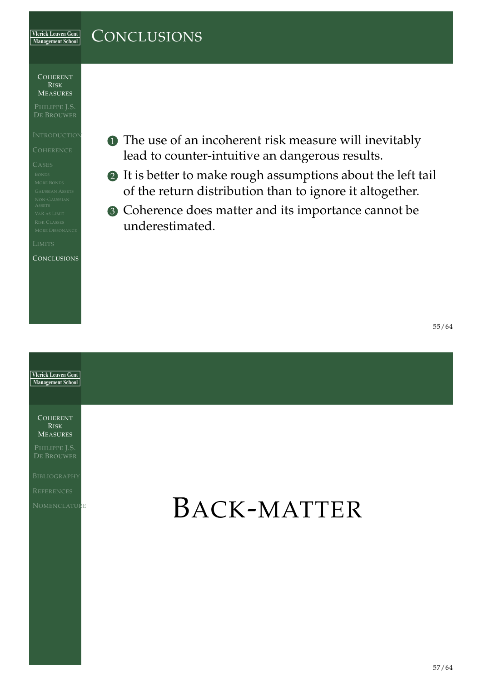#### **CONCLUSIONS Vlerick Leuven Gent** Management School

COHERENT RISK MEASURES

PHILIPPE J.S.

**CONCLUSIONS** 

- **1** The use of an incoherent risk measure will inevitably lead to counter-intuitive an dangerous results.
- 2 It is better to make rough assumptions about the left tail of the return distribution than to ignore it altogether.
- 3 Coherence does matter and its importance cannot be underestimated.

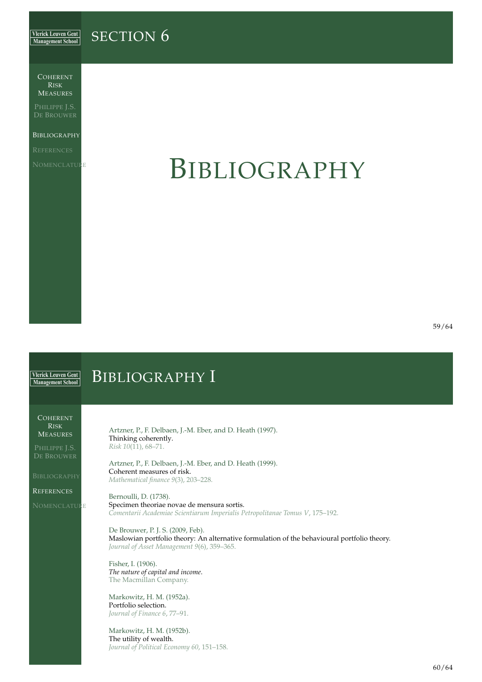#### **Vlerick Leuven Gent** SECTION 6 Management School

COHERENT RISK MEASURES

PHILIPPE J.S.

**BIBLIOGRAPHY** 

NOMENCLATURE

## BIBLIOGRAPHY

<span id="page-22-6"></span>59/64

#### <span id="page-22-5"></span><span id="page-22-4"></span><span id="page-22-3"></span><span id="page-22-2"></span><span id="page-22-1"></span><span id="page-22-0"></span>BIBLIOGRAPHY I **Vlerick Leuven Gent** Management School COHERENT RISK Artzner, P., F. Delbaen, J.-M. Eber, and D. Heath (1997). **MEASURES** Thinking coherently. *Risk 10*(11), 68–71. PHILIPPE J.S. Artzner, P., F. Delbaen, J.-M. Eber, and D. Heath (1999). Coherent measures of risk. **BIBLIOGRAPHY** *Mathematical finance 9*(3), 203–228. **REFERENCES** Bernoulli, D. (1738). **[N](#page-0-0)OMENCLATURE** Specimen theoriae novae de mensura sortis. *Comentarii Academiae Scientiarum Imperialis Petropolitanae Tomus V*, 175–192. De Brouwer, P. J. S. (2009, Feb). Maslowian portfolio theory: An alternative formulation of the behavioural portfolio theory. *Journal of Asset Management 9*(6), 359–365. Fisher, I. (1906). *[The nature of capital and income](#page-22-6)*. The Macmillan Company. Markowitz, H. M. (1952a). Portfolio selection. *Journal of Finance 6*, 77–91. Markowitz, H. M. (1952b). The utility of wealth. *Journal of Political Economy 60*, 151–158.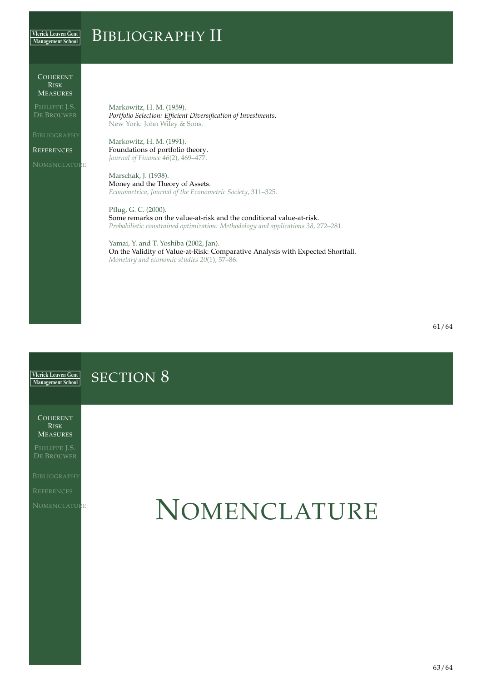#### BIBLIOGRAPHY II **Vlerick Leuven Gent** Management School

#### COHERENT RISK MEASURES

PHILIPPE J.S.

**REFERENCES** 

**NOMENCLATURE** 

Markowitz, H. M. (1959). *Portfolio Selection: Efficient Diversification of Investments*. New York: John Wiley & Sons.

Markowitz, H. M. (1991). Foundations of portfolio theory. *Journal of Finance 46*(2), 469–477.

Marschak, J. (1938). Money and the Theory of Assets. *Econometrica, Journal of the Econometric Society*, 311–325.

Pflug, G. C. (2000). Some remarks on the value-at-risk and the conditional value-at-risk. *Probabilistic constrained optimization: Methodology and applications 38*, 272–281.

Yamai, Y. and T. Yoshiba (2002, Jan). On the Validity of Value-at-Risk: Comparative Analysis with Expected Shortfall. *Monetary and economic studies 20*(1), 57–86.

<span id="page-23-2"></span><span id="page-23-1"></span><span id="page-23-0"></span>**Vlerick Leuven Gent** SECTION<sub>8</sub> Management School COHERENT RISK MEASURES PHILIPPE J.S. NOMENCLATURE **[N](#page-0-0)OMENCLATURE**